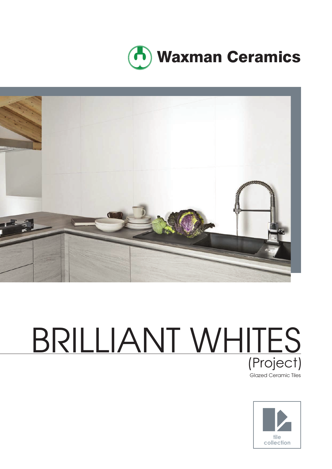



# BRILLIANT WHITES (Project)



Glazed Ceramic Tiles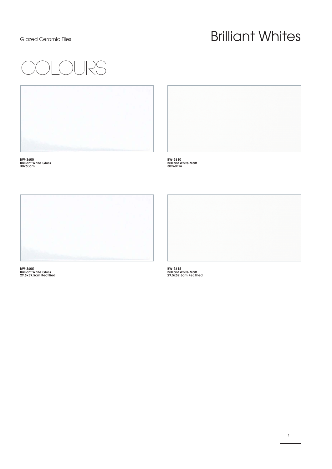### Glazed Ceramic Tiles **Brilliant Whites**

**1**





**BW-3600 Brilliant White Gloss 30x60cm**



**BW-3610 Brilliant White Matt 30x60cm**



**BW-3605 Brilliant White Gloss 29.5x59.5cm Rectified** 

**BW-3615 Brilliant White Matt 29.5x59.5cm Rectified**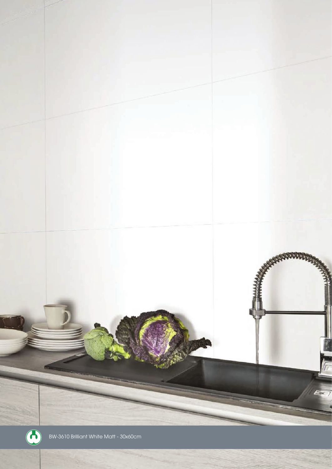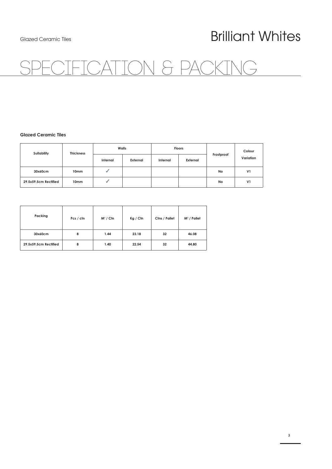### Glazed Ceramic Tiles **Brilliant Whites**

## TON & PACKING

### **Glazed Ceramic Tiles**

| Suitability           | <b>Thickness</b> | Walls    |          | <b>Floors</b> |          |            | Colour         |
|-----------------------|------------------|----------|----------|---------------|----------|------------|----------------|
|                       |                  | Internal | External | Internal      | External | Frostproof | Variation      |
| 30x60cm               | 10mm             |          |          |               |          | No         | V <sub>1</sub> |
| 29.5x59.5cm Rectified | 10mm             |          |          |               |          | No         | V <sub>1</sub> |

| Packing               | Pcs / ctn | $M^2 / Ctn$ | Kg / Cfn | Ctns / Pallet | $M^2$ / Pallet |
|-----------------------|-----------|-------------|----------|---------------|----------------|
| 30x60cm               | 8         | 1.44        | 23.18    | 32            | 46.08          |
| 29.5x59.5cm Rectified | 8         | 1.40        | 22.54    | 32            | 44.80          |